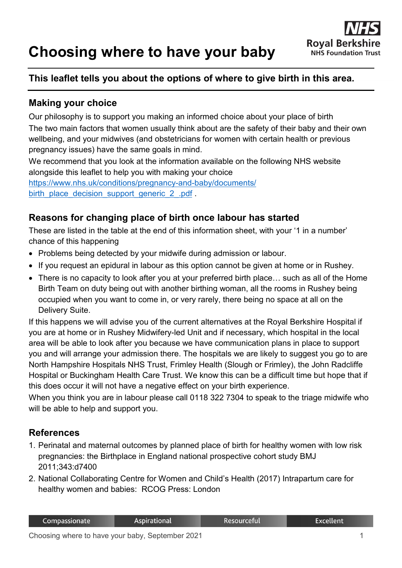# **Choosing where to have your baby**



## **This leaflet tells you about the options of where to give birth in this area.**

#### **Making your choice**

Our philosophy is to support you making an informed choice about your place of birth The two main factors that women usually think about are the safety of their baby and their own wellbeing, and your midwives (and obstetricians for women with certain health or previous pregnancy issues) have the same goals in mind.

We recommend that you look at the information available on the following NHS website alongside this leaflet to help you with making your choice

[https://www.nhs.uk/conditions/pregnancy-and-baby/documents/](https://www.nhs.uk/conditions/pregnancy-and-baby/documents/%0bbirth_place_decision_support_generic_2_.pdf) [birth\\_place\\_decision\\_support\\_generic\\_2\\_.pdf](https://www.nhs.uk/conditions/pregnancy-and-baby/documents/%0bbirth_place_decision_support_generic_2_.pdf)

#### **Reasons for changing place of birth once labour has started**

These are listed in the table at the end of this information sheet, with your '1 in a number' chance of this happening

- Problems being detected by your midwife during admission or labour.
- If you request an epidural in labour as this option cannot be given at home or in Rushey.
- There is no capacity to look after you at your preferred birth place… such as all of the Home Birth Team on duty being out with another birthing woman, all the rooms in Rushey being occupied when you want to come in, or very rarely, there being no space at all on the Delivery Suite.

If this happens we will advise you of the current alternatives at the Royal Berkshire Hospital if you are at home or in Rushey Midwifery-led Unit and if necessary, which hospital in the local area will be able to look after you because we have communication plans in place to support you and will arrange your admission there. The hospitals we are likely to suggest you go to are North Hampshire Hospitals NHS Trust, Frimley Health (Slough or Frimley), the John Radcliffe Hospital or Buckingham Health Care Trust. We know this can be a difficult time but hope that if this does occur it will not have a negative effect on your birth experience.

When you think you are in labour please call 0118 322 7304 to speak to the triage midwife who will be able to help and support you.

### **References**

- 1. Perinatal and maternal outcomes by planned place of birth for healthy women with low risk pregnancies: the Birthplace in England national prospective cohort study BMJ 2011;343:d7400
- 2. National Collaborating Centre for Women and Child's Health (2017) Intrapartum care for healthy women and babies: RCOG Press: London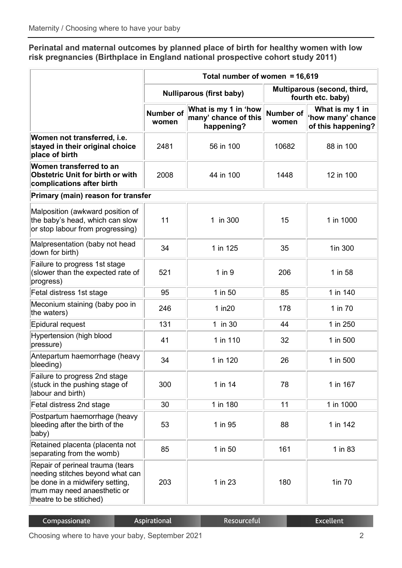**Perinatal and maternal outcomes by planned place of birth for healthy women with low risk pregnancies (Birthplace in England national prospective cohort study 2011)**

|                                                                                                                                                                    | Total number of women = 16,619  |                                                            |                                                  |                                                            |  |  |  |
|--------------------------------------------------------------------------------------------------------------------------------------------------------------------|---------------------------------|------------------------------------------------------------|--------------------------------------------------|------------------------------------------------------------|--|--|--|
|                                                                                                                                                                    | <b>Nulliparous (first baby)</b> |                                                            | Multiparous (second, third,<br>fourth etc. baby) |                                                            |  |  |  |
|                                                                                                                                                                    | Number of<br>women              | What is my 1 in 'how<br>many' chance of this<br>happening? | <b>Number of</b><br>women                        | What is my 1 in<br>'how many' chance<br>of this happening? |  |  |  |
| Women not transferred, i.e.<br>stayed in their original choice<br>place of birth                                                                                   | 2481                            | 56 in 100                                                  | 10682                                            | 88 in 100                                                  |  |  |  |
| Women transferred to an<br><b>Obstetric Unit for birth or with</b><br>complications after birth                                                                    | 2008                            | 44 in 100                                                  | 1448                                             | 12 in 100                                                  |  |  |  |
| Primary (main) reason for transfer                                                                                                                                 |                                 |                                                            |                                                  |                                                            |  |  |  |
| Malposition (awkward position of<br>the baby's head, which can slow<br>or stop labour from progressing)                                                            | 11                              | 1 in 300                                                   | 15                                               | 1 in 1000                                                  |  |  |  |
| Malpresentation (baby not head<br>down for birth)                                                                                                                  | 34                              | 1 in 125                                                   | 35                                               | 1in 300                                                    |  |  |  |
| Failure to progress 1st stage<br>(slower than the expected rate of<br>progress)                                                                                    | 521                             | $1$ in $9$                                                 | 206                                              | 1 in 58                                                    |  |  |  |
| Fetal distress 1st stage                                                                                                                                           | 95                              | 1 in 50                                                    | 85                                               | 1 in 140                                                   |  |  |  |
| Meconium staining (baby poo in<br>the waters)                                                                                                                      | 246                             | $1$ in $20$                                                | 178                                              | 1 in 70                                                    |  |  |  |
| Epidural request                                                                                                                                                   | 131                             | 1 in 30                                                    | 44                                               | 1 in 250                                                   |  |  |  |
| Hypertension (high blood<br>pressure)                                                                                                                              | 41                              | 1 in 110                                                   | 32                                               | 1 in 500                                                   |  |  |  |
| Antepartum haemorrhage (heavy<br>bleeding)                                                                                                                         | 34                              | 1 in 120                                                   | 26                                               | 1 in 500                                                   |  |  |  |
| Failure to progress 2nd stage<br>(stuck in the pushing stage of<br>labour and birth)                                                                               | 300                             | 1 in 14                                                    | 78                                               | 1 in 167                                                   |  |  |  |
| Fetal distress 2nd stage                                                                                                                                           | 30                              | 1 in 180                                                   | 11                                               | 1 in 1000                                                  |  |  |  |
| Postpartum haemorrhage (heavy<br>bleeding after the birth of the<br>baby)                                                                                          | 53                              | 1 in 95                                                    | 88                                               | 1 in 142                                                   |  |  |  |
| Retained placenta (placenta not<br>separating from the womb)                                                                                                       | 85                              | 1 in 50                                                    | 161                                              | 1 in 83                                                    |  |  |  |
| Repair of perineal trauma (tears<br>needing stitches beyond what can<br>be done in a midwifery setting,<br>mum may need anaesthetic or<br>theatre to be stitiched) | 203                             | 1 in 23                                                    | 180                                              | 1in 70                                                     |  |  |  |

| Compassionate | Aspirational | .Resourceful' | Excellent <sup>'</sup> |
|---------------|--------------|---------------|------------------------|
|               |              |               |                        |

Choosing where to have your baby, September 2021 **2** 2